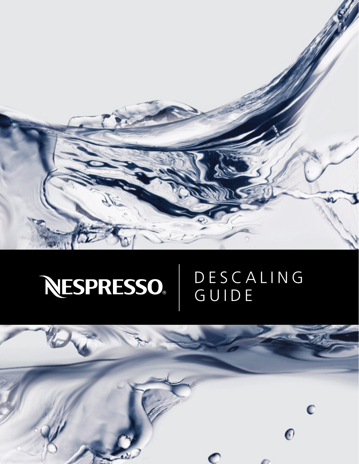

## NESPRESSO. DESCALING GUIDE

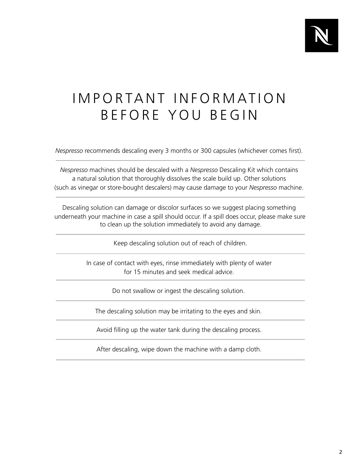

# IMPORTANT INFORMATION BEFORE YOU BEGIN

*Nespresso* recommends descaling every 3 months or 300 capsules (whichever comes first).

(such as vinegar or store-bought descalers) may cause damage to your *Nespresso* machine. *Nespresso* machines should be descaled with a *Nespresso* Descaling Kit which contains a natural solution that thoroughly dissolves the scale build up. Other solutions

Descaling solution can damage or discolor surfaces so we suggest placing something underneath your machine in case a spill should occur. If a spill does occur, please make sure to clean up the solution immediately to avoid any damage.

Keep descaling solution out of reach of children.

In case of contact with eyes, rinse immediately with plenty of water for 15 minutes and seek medical advice.

Do not swallow or ingest the descaling solution.

The descaling solution may be irritating to the eyes and skin.

Avoid filling up the water tank during the descaling process.

After descaling, wipe down the machine with a damp cloth.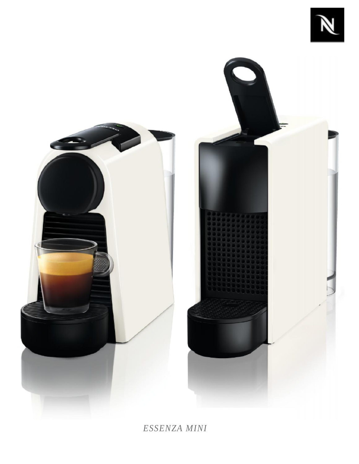



*ESSENZA MINI*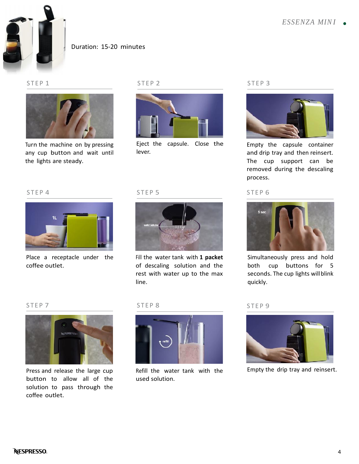

### Duration: 15-20 minutes



Turn the machine on by pressing any cup button and wait until the lights are steady. any cup button and watcher lights are steady.<br>S T E P 4



Eject the capsule. Close the lever. lever.<br>STEP 5



Empty the capsule container and drip tray and then reinsert. The cup support can be removed during the descaling process. and drip tray and then re<br>The cup support care<br>removed during the deprocess.<br>STEP 6



Simultaneously press and hold both cup buttons for 5 seconds. The cup lights willblink quickly. both cup buttons<br>seconds. The cup lights w<br>quickly.<br>STEP 9



Press and release the large cup button to allow all of the solution to pass through the coffee outlet.

line.



Fill the water tank with **1 packet** of descaling solution and the

rest with water up to the max

Refill the water tank with the used solution.



Empty the drip tray and reinsert.



Place a receptacle under the coffee outlet.